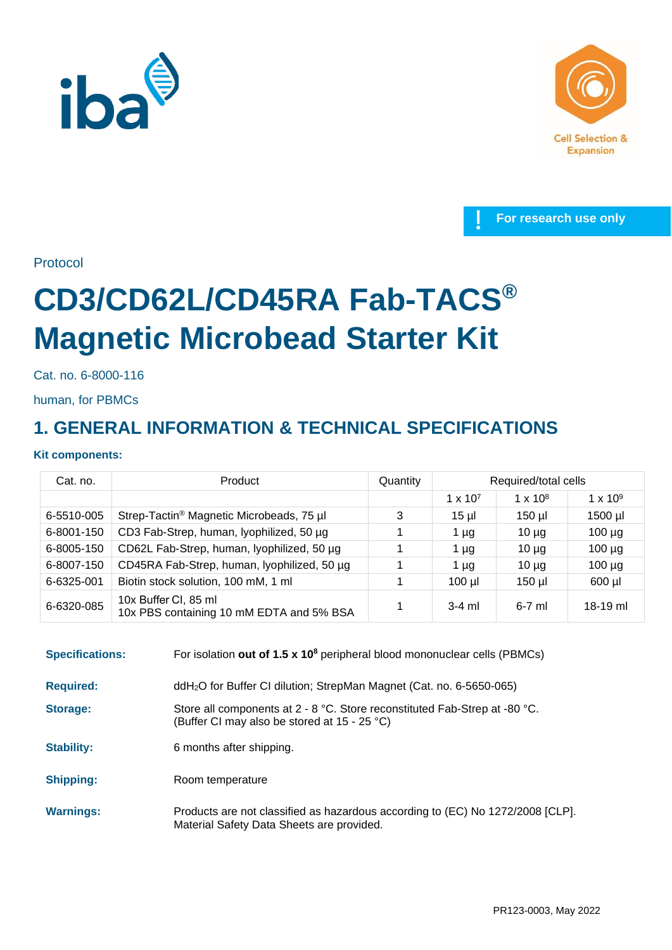





Protocol

# **CD3/CD62L/CD45RA Fab-TACS® Magnetic Microbead Starter Kit**

Cat. no. 6-8000-116

human, for PBMCs

## **1. GENERAL INFORMATION & TECHNICAL SPECIFICATIONS**

## **Kit components:**

| Cat. no.   | Product                                                          | Quantity | Required/total cells |                 |                 |
|------------|------------------------------------------------------------------|----------|----------------------|-----------------|-----------------|
|            |                                                                  |          | $1 \times 10^{7}$    | $1 \times 10^8$ | $1 \times 10^9$ |
| 6-5510-005 | Strep-Tactin <sup>®</sup> Magnetic Microbeads, 75 µl             | 3        | $15 \mu$             | $150$ µl        | 1500 µl         |
| 6-8001-150 | CD3 Fab-Strep, human, lyophilized, 50 µg                         |          | 1 µg                 | $10 \mu$ g      | $100 \mu g$     |
| 6-8005-150 | CD62L Fab-Strep, human, lyophilized, 50 µg                       |          | 1 µg                 | $10 \mu$ g      | $100 \mu g$     |
| 6-8007-150 | CD45RA Fab-Strep, human, lyophilized, 50 µg                      |          | 1 µg                 | $10 \mu$ g      | $100 \mu g$     |
| 6-6325-001 | Biotin stock solution, 100 mM, 1 ml                              |          | $100$ $\mu$          | $150$ µl        | $600$ µl        |
| 6-6320-085 | 10x Buffer CI, 85 ml<br>10x PBS containing 10 mM EDTA and 5% BSA |          | $3-4$ ml             | $6-7$ ml        | $18-19$ ml      |

| <b>Specifications:</b> | For isolation out of 1.5 $\times$ 10 <sup>8</sup> peripheral blood mononuclear cells (PBMCs)                                |
|------------------------|-----------------------------------------------------------------------------------------------------------------------------|
| <b>Required:</b>       | ddH <sub>2</sub> O for Buffer CI dilution; StrepMan Magnet (Cat. no. 6-5650-065)                                            |
| Storage:               | Store all components at 2 - 8 °C. Store reconstituted Fab-Strep at -80 °C.<br>(Buffer CI may also be stored at 15 - 25 °C)  |
| <b>Stability:</b>      | 6 months after shipping.                                                                                                    |
| <b>Shipping:</b>       | Room temperature                                                                                                            |
| <b>Warnings:</b>       | Products are not classified as hazardous according to (EC) No 1272/2008 [CLP].<br>Material Safety Data Sheets are provided. |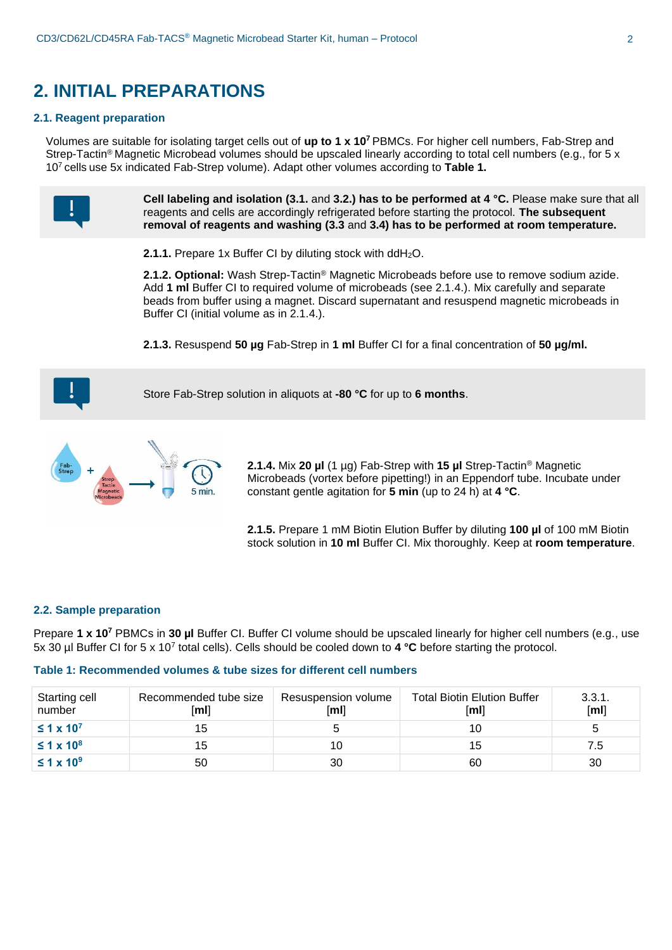## **2. INITIAL PREPARATIONS**

### **2.1. Reagent preparation**

Volumes are suitable for isolating target cells out of **up to 1 x 10<sup>7</sup>** PBMCs. For higher cell numbers, Fab-Strep and Strep-Tactin® Magnetic Microbead volumes should be upscaled linearly according to total cell numbers (e.g., for 5 x 10<sup>7</sup> cells use 5x indicated Fab-Strep volume). Adapt other volumes according to **Table 1.**

> **Cell labeling and isolation (3.1.** and **3.2.) has to be performed at 4 °C.** Please make sure that all reagents and cells are accordingly refrigerated before starting the protocol. **The subsequent removal of reagents and washing (3.3** and **3.4) has to be performed at room temperature.**

**2.1.1.** Prepare 1x Buffer CI by diluting stock with ddH<sub>2</sub>O.

**2.1.2. Optional:** Wash Strep-Tactin® Magnetic Microbeads before use to remove sodium azide. Add **1 ml** Buffer CI to required volume of microbeads (see 2.1.4.). Mix carefully and separate beads from buffer using a magnet. Discard supernatant and resuspend magnetic microbeads in Buffer CI (initial volume as in 2.1.4.).

**2.1.3.** Resuspend **50 µg** Fab-Strep in **1 ml** Buffer CI for a final concentration of **50 µg/ml.**



Store Fab-Strep solution in aliquots at **-80 °C** for up to **6 months**.



**2.1.4.** Mix **20 µl** (1 µg) Fab-Strep with **15 µl** Strep-Tactin® Magnetic Microbeads (vortex before pipetting!) in an Eppendorf tube. Incubate under constant gentle agitation for **5 min** (up to 24 h) at **4 °C**.

**2.1.5.** Prepare 1 mM Biotin Elution Buffer by diluting **100 µl** of 100 mM Biotin stock solution in **10 ml** Buffer CI. Mix thoroughly. Keep at **room temperature**.

### **2.2. Sample preparation**

Prepare **1 x 10<sup>7</sup>** PBMCs in **30 µl** Buffer CI. Buffer CI volume should be upscaled linearly for higher cell numbers (e.g., use 5x 30 µl Buffer CI for 5 x 10<sup>7</sup> total cells). Cells should be cooled down to **4 °C** before starting the protocol.

## **Table 1: Recommended volumes & tube sizes for different cell numbers**

| Starting cell<br>number | Recommended tube size<br>[ml] | Resuspension volume<br>[ml] | <b>Total Biotin Elution Buffer</b><br>[ml] | 3.3.1.<br>[ml] |
|-------------------------|-------------------------------|-----------------------------|--------------------------------------------|----------------|
| $\leq 1 \times 10^{7}$  | 15                            |                             | 10                                         |                |
| $\leq 1 \times 10^8$    | 15                            | 10                          | 15                                         | 7.5            |
| $\leq 1 \times 10^9$    | 50                            | 30                          | 60                                         | 30             |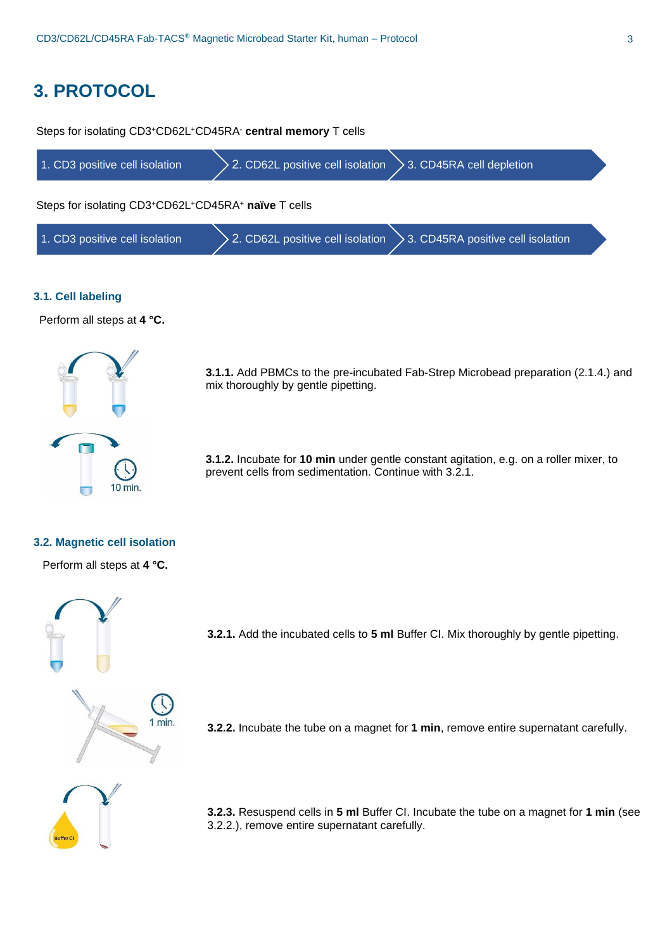## **3. PROTOCOL**

1. CD3 positive cell isolation  $\geq$  2. CD62L positive cell isolation  $\geq$  3. CD45RA cell depletion Steps for isolating CD3<sup>+</sup>CD62L<sup>+</sup>CD45RA- **central memory** T cells 1. CD3 positive cell isolation  $\geq$  2. CD62L positive cell isolation  $\geq$  3. CD45RA positive cell isolation Steps for isolating CD3<sup>+</sup>CD62L<sup>+</sup>CD45RA<sup>+</sup> **naïve** T cells

## **3.1. Cell labeling**

Perform all steps at **4 °C.**



**3.1.1.** Add PBMCs to the pre-incubated Fab-Strep Microbead preparation (2.1.4.) and mix thoroughly by gentle pipetting.

**3.1.2.** Incubate for **10 min** under gentle constant agitation, e.g. on a roller mixer, to prevent cells from sedimentation. Continue with 3.2.1.

### **3.2. Magnetic cell isolation**

Perform all steps at **4 °C.**



**3.2.1.** Add the incubated cells to **5 ml** Buffer CI. Mix thoroughly by gentle pipetting.

**3.2.2.** Incubate the tube on a magnet for **1 min**, remove entire supernatant carefully.

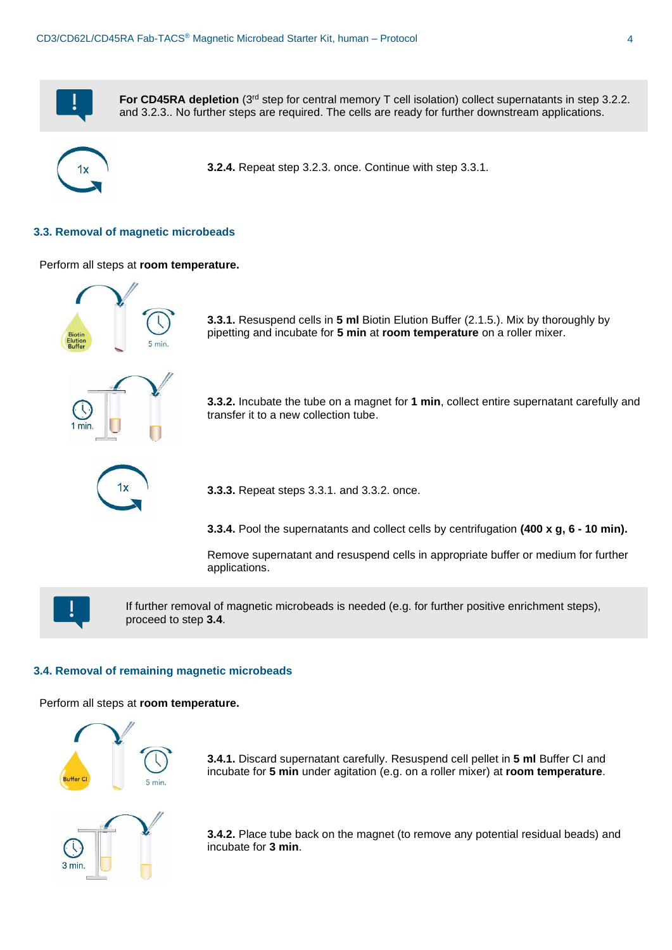

**For CD45RA depletion** (3<sup>rd</sup> step for central memory T cell isolation) collect supernatants in step 3.2.2. and 3.2.3.. No further steps are required. The cells are ready for further downstream applications.



**3.2.4.** Repeat step 3.2.3. once. Continue with step 3.3.1.

## **3.3. Removal of magnetic microbeads**

Perform all steps at **room temperature.**



**3.3.1.** Resuspend cells in **5 ml** Biotin Elution Buffer (2.1.5.). Mix by thoroughly by pipetting and incubate for **5 min** at **room temperature** on a roller mixer.



**3.3.2.** Incubate the tube on a magnet for **1 min**, collect entire supernatant carefully and transfer it to a new collection tube.



**3.3.3.** Repeat steps 3.3.1. and 3.3.2. once.

**3.3.4.** Pool the supernatants and collect cells by centrifugation **(400 x g, 6 - 10 min).** 

Remove supernatant and resuspend cells in appropriate buffer or medium for further applications.



If further removal of magnetic microbeads is needed (e.g. for further positive enrichment steps), proceed to step **3.4**.

### **3.4. Removal of remaining magnetic microbeads**

Perform all steps at **room temperature.**



**3.4.1.** Discard supernatant carefully. Resuspend cell pellet in **5 ml** Buffer CI and incubate for **5 min** under agitation (e.g. on a roller mixer) at **room temperature**.

**3.4.2.** Place tube back on the magnet (to remove any potential residual beads) and incubate for **3 min**.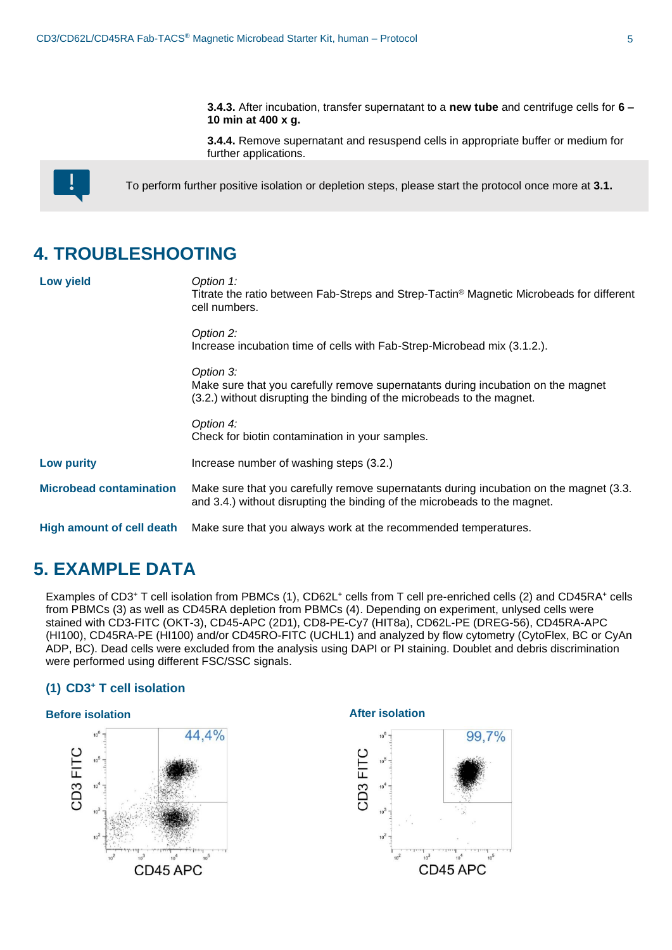**3.4.3.** After incubation, transfer supernatant to a **new tube** and centrifuge cells for **6 – 10 min at 400 x g.**

**3.4.4.** Remove supernatant and resuspend cells in appropriate buffer or medium for further applications.



To perform further positive isolation or depletion steps, please start the protocol once more at **3.1.**

## **4. TROUBLESHOOTING**

| <b>Low yield</b>               | Option 1:<br>Titrate the ratio between Fab-Streps and Strep-Tactin <sup>®</sup> Magnetic Microbeads for different<br>cell numbers.                                      |
|--------------------------------|-------------------------------------------------------------------------------------------------------------------------------------------------------------------------|
|                                | Option 2:<br>Increase incubation time of cells with Fab-Strep-Microbead mix (3.1.2.).                                                                                   |
|                                | Option 3:<br>Make sure that you carefully remove supernatants during incubation on the magnet<br>(3.2.) without disrupting the binding of the microbeads to the magnet. |
|                                | Option 4:<br>Check for biotin contamination in your samples.                                                                                                            |
| <b>Low purity</b>              | Increase number of washing steps (3.2.)                                                                                                                                 |
| <b>Microbead contamination</b> | Make sure that you carefully remove supernatants during incubation on the magnet (3.3.<br>and 3.4.) without disrupting the binding of the microbeads to the magnet.     |
| High amount of cell death      | Make sure that you always work at the recommended temperatures.                                                                                                         |

## **5. EXAMPLE DATA**

Examples of CD3+ T cell isolation from PBMCs (1), CD62L+ cells from T cell pre-enriched cells (2) and CD45RA+ cells from PBMCs (3) as well as CD45RA depletion from PBMCs (4). Depending on experiment, unlysed cells were stained with CD3-FITC (OKT-3), CD45-APC (2D1), CD8-PE-Cy7 (HIT8a), CD62L-PE (DREG-56), CD45RA-APC (HI100), CD45RA-PE (HI100) and/or CD45RO-FITC (UCHL1) and analyzed by flow cytometry (CytoFlex, BC or CyAn ADP, BC). Dead cells were excluded from the analysis using DAPI or PI staining. Doublet and debris discrimination were performed using different FSC/SSC signals.

## **(1) CD3<sup>+</sup> T cell isolation**

## **Before isolation After isolation**



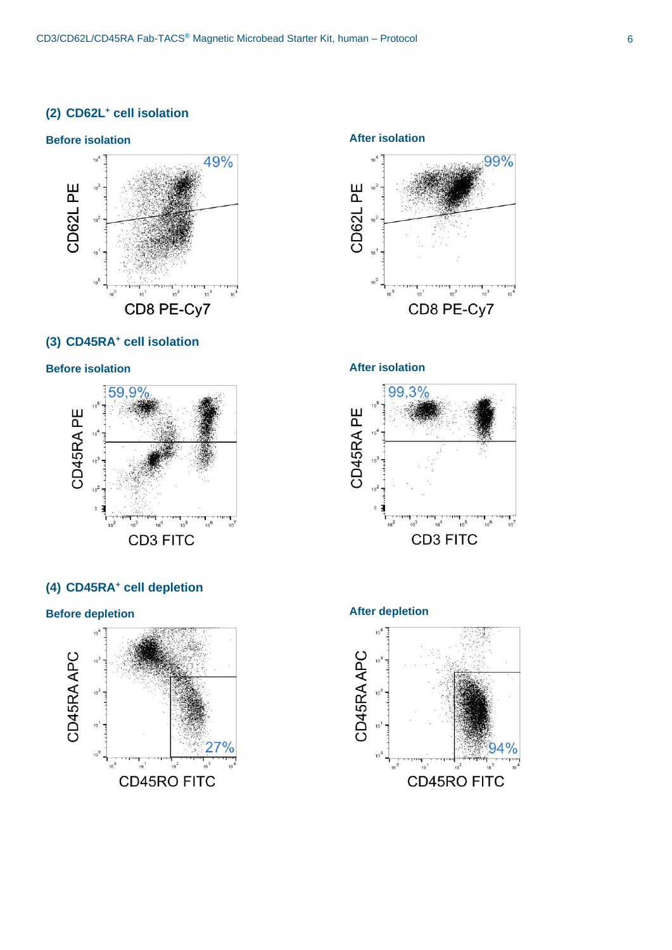## **(2) CD62L<sup>+</sup> cell isolation**

## **Before isolation After isolation**



## **(3) CD45RA<sup>+</sup> cell isolation**



## **(4) CD45RA<sup>+</sup> cell depletion**